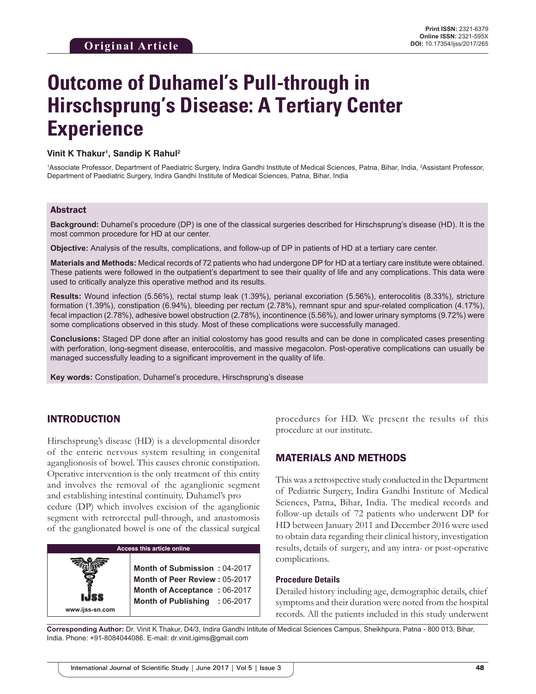# **Outcome of Duhamel's Pull-through in Hirschsprung's Disease: A Tertiary Center Experience**

#### **Vinit K Thakur1 , Sandip K Rahul2**

<sup>1</sup>Associate Professor, Department of Paediatric Surgery, Indira Gandhi Institute of Medical Sciences, Patna, Bihar, India, <sup>2</sup>Assistant Professor, Department of Paediatric Surgery, Indira Gandhi Institute of Medical Sciences, Patna, Bihar, India

#### Abstract

**Background:** Duhamel's procedure (DP) is one of the classical surgeries described for Hirschsprung's disease (HD). It is the most common procedure for HD at our center.

**Objective:** Analysis of the results, complications, and follow-up of DP in patients of HD at a tertiary care center.

**Materials and Methods:** Medical records of 72 patients who had undergone DP for HD at a tertiary care institute were obtained. These patients were followed in the outpatient's department to see their quality of life and any complications. This data were used to critically analyze this operative method and its results.

**Results:** Wound infection (5.56%), rectal stump leak (1.39%), perianal excoriation (5.56%), enterocolitis (8.33%), stricture formation (1.39%), constipation (6.94%), bleeding per rectum (2.78%), remnant spur and spur-related complication (4.17%), fecal impaction (2.78%), adhesive bowel obstruction (2.78%), incontinence (5.56%), and lower urinary symptoms (9.72%) were some complications observed in this study. Most of these complications were successfully managed.

**Conclusions:** Staged DP done after an initial colostomy has good results and can be done in complicated cases presenting with perforation, long-segment disease, enterocolitis, and massive megacolon. Post-operative complications can usually be managed successfully leading to a significant improvement in the quality of life.

**Key words:** Constipation, Duhamel's procedure, Hirschsprung's disease

## INTRODUCTION

Hirschsprung's disease (HD) is a developmental disorder of the enteric nervous system resulting in congenital aganglionosis of bowel. This causes chronic constipation. Operative intervention is the only treatment of this entity and involves the removal of the aganglionic segment and establishing intestinal continuity. Duhamel's pro

cedure (DP) which involves excision of the aganglionic segment with retrorectal pull-through, and anastomosis of the ganglionated bowel is one of the classical surgical

## **Access this article online**

**www.ijss-sn.com**

**Month of Submission :** 04-2017 **Month of Peer Review :** 05-2017 **Month of Acceptance :** 06-2017 **Month of Publishing :** 06-2017 procedures for HD. We present the results of this procedure at our institute.

## MATERIALS AND METHODS

This was a retrospective study conducted in the Department of Pediatric Surgery, Indira Gandhi Institute of Medical Sciences, Patna, Bihar, India. The medical records and follow-up details of 72 patients who underwent DP for HD between January 2011 and December 2016 were used to obtain data regarding their clinical history, investigation results, details of surgery, and any intra- or post-operative complications.

#### **Procedure Details**

Detailed history including age, demographic details, chief symptoms and their duration were noted from the hospital records. All the patients included in this study underwent

**Corresponding Author:** Dr. Vinit K Thakur, D4/3, Indira Gandhi Intitute of Medical Sciences Campus, Sheikhpura, Patna - 800 013, Bihar, India. Phone: +91-8084044086. E-mail: dr.vinit.igims@gmail.com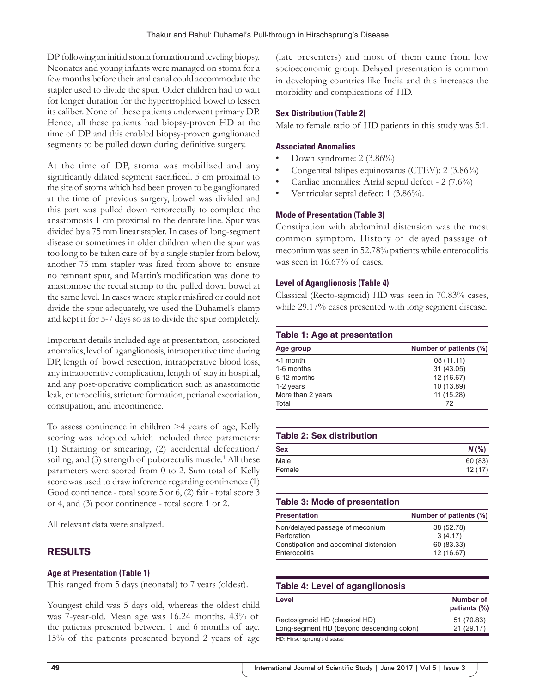DP following an initial stoma formation and leveling biopsy. Neonates and young infants were managed on stoma for a few months before their anal canal could accommodate the stapler used to divide the spur. Older children had to wait for longer duration for the hypertrophied bowel to lessen its caliber. None of these patients underwent primary DP. Hence, all these patients had biopsy-proven HD at the time of DP and this enabled biopsy-proven ganglionated segments to be pulled down during definitive surgery.

At the time of DP, stoma was mobilized and any significantly dilated segment sacrificed. 5 cm proximal to the site of stoma which had been proven to be ganglionated at the time of previous surgery, bowel was divided and this part was pulled down retrorectally to complete the anastomosis 1 cm proximal to the dentate line. Spur was divided by a 75 mm linear stapler. In cases of long-segment disease or sometimes in older children when the spur was too long to be taken care of by a single stapler from below, another 75 mm stapler was fired from above to ensure no remnant spur, and Martin's modification was done to anastomose the rectal stump to the pulled down bowel at the same level. In cases where stapler misfired or could not divide the spur adequately, we used the Duhamel's clamp and kept it for 5-7 days so as to divide the spur completely.

Important details included age at presentation, associated anomalies, level of aganglionosis, intraoperative time during DP, length of bowel resection, intraoperative blood loss, any intraoperative complication, length of stay in hospital, and any post-operative complication such as anastomotic leak, enterocolitis, stricture formation, perianal excoriation, constipation, and incontinence.

To assess continence in children >4 years of age, Kelly scoring was adopted which included three parameters: (1) Straining or smearing, (2) accidental defecation/ soiling, and (3) strength of puborectalis muscle.<sup>1</sup> All these parameters were scored from 0 to 2. Sum total of Kelly score was used to draw inference regarding continence: (1) Good continence - total score 5 or 6, (2) fair - total score 3 or 4, and (3) poor continence - total score 1 or 2.

All relevant data were analyzed.

## RESULTS

## **Age at Presentation (Table 1)**

This ranged from 5 days (neonatal) to 7 years (oldest).

Youngest child was 5 days old, whereas the oldest child was 7-year-old. Mean age was 16.24 months. 43% of the patients presented between 1 and 6 months of age. 15% of the patients presented beyond 2 years of age (late presenters) and most of them came from low socioeconomic group. Delayed presentation is common in developing countries like India and this increases the morbidity and complications of HD.

## **Sex Distribution (Table 2)**

Male to female ratio of HD patients in this study was 5:1.

#### **Associated Anomalies**

- Down syndrome: 2 (3.86%)
- Congenital talipes equinovarus (CTEV): 2 (3.86%)
- Cardiac anomalies: Atrial septal defect 2 (7.6%)
- Ventricular septal defect: 1 (3.86%).

## **Mode of Presentation (Table 3)**

Constipation with abdominal distension was the most common symptom. History of delayed passage of meconium was seen in 52.78% patients while enterocolitis was seen in 16.67% of cases.

#### **Level of Aganglionosis (Table 4)**

Classical (Recto-sigmoid) HD was seen in 70.83% cases, while 29.17% cases presented with long segment disease.

## **Table 1: Age at presentation**

| Age group         | Number of patients (%) |
|-------------------|------------------------|
| $<$ 1 month       | 08 (11.11)             |
| 1-6 months        | 31 (43.05)             |
| 6-12 months       | 12 (16.67)             |
| 1-2 years         | 10 (13.89)             |
| More than 2 years | 11 (15.28)             |
| Total             | 72                     |

## **Table 2: Sex distribution**

| Sex    | $N$ (%) |
|--------|---------|
| Male   | 60 (83) |
| Female | 12(17)  |

#### **Table 3: Mode of presentation**

| <b>Presentation</b>                   | Number of patients (%) |
|---------------------------------------|------------------------|
| Non/delayed passage of meconium       | 38 (52.78)             |
| Perforation                           | 3(4.17)                |
| Constipation and abdominal distension | 60 (83.33)             |
| Enterocolitis                         | 12 (16.67)             |

## **Table 4: Level of aganglionosis**

| Level                                     | Number of<br>patients (%) |
|-------------------------------------------|---------------------------|
| Rectosigmoid HD (classical HD)            | 51 (70.83)                |
| Long-segment HD (beyond descending colon) | 21 (29.17)                |
| HD: Hirschsprung's disease                |                           |

International Journal of Scientific Study | June 2017 | Vol 5 | Issue 3 **48 49** International Journal of Scientific Study | June 2017 | Vol 5 | Issue 3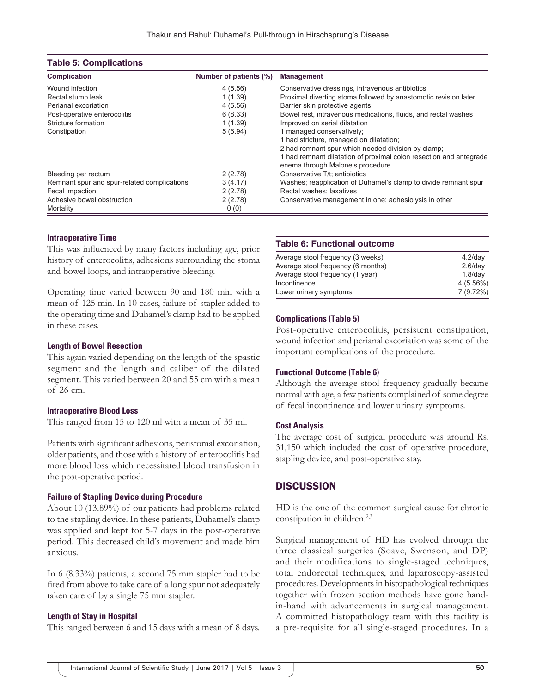#### **Table 5: Complications**

| <b>Complication</b>                         | Number of patients (%) | <b>Management</b>                                                                                      |
|---------------------------------------------|------------------------|--------------------------------------------------------------------------------------------------------|
| Wound infection                             | 4(5.56)                | Conservative dressings, intravenous antibiotics                                                        |
| Rectal stump leak                           | 1(1.39)                | Proximal diverting stoma followed by anastomotic revision later                                        |
| Perianal excoriation                        | 4(5.56)                | Barrier skin protective agents                                                                         |
| Post-operative enterocolitis                | 6(8.33)                | Bowel rest, intravenous medications, fluids, and rectal washes                                         |
| Stricture formation                         | 1(1.39)                | Improved on serial dilatation                                                                          |
| Constipation                                | 5(6.94)                | 1 managed conservatively;                                                                              |
|                                             |                        | 1 had stricture, managed on dilatation;                                                                |
|                                             |                        | 2 had remnant spur which needed division by clamp;                                                     |
|                                             |                        | 1 had remnant dilatation of proximal colon resection and antegrade<br>enema through Malone's procedure |
| Bleeding per rectum                         | 2(2.78)                | Conservative T/t; antibiotics                                                                          |
| Remnant spur and spur-related complications | 3(4.17)                | Washes; reapplication of Duhamel's clamp to divide remnant spur                                        |
| Fecal impaction                             | 2(2.78)                | Rectal washes; laxatives                                                                               |
| Adhesive bowel obstruction                  | 2(2.78)                | Conservative management in one; adhesiolysis in other                                                  |
| Mortality                                   | 0(0)                   |                                                                                                        |

#### **Intraoperative Time**

This was influenced by many factors including age, prior history of enterocolitis, adhesions surrounding the stoma and bowel loops, and intraoperative bleeding.

Operating time varied between 90 and 180 min with a mean of 125 min. In 10 cases, failure of stapler added to the operating time and Duhamel's clamp had to be applied in these cases.

#### **Length of Bowel Resection**

This again varied depending on the length of the spastic segment and the length and caliber of the dilated segment. This varied between 20 and 55 cm with a mean of 26 cm.

#### **Intraoperative Blood Loss**

This ranged from 15 to 120 ml with a mean of 35 ml.

Patients with significant adhesions, peristomal excoriation, older patients, and those with a history of enterocolitis had more blood loss which necessitated blood transfusion in the post-operative period.

#### **Failure of Stapling Device during Procedure**

About 10 (13.89%) of our patients had problems related to the stapling device. In these patients, Duhamel's clamp was applied and kept for 5-7 days in the post-operative period. This decreased child's movement and made him anxious.

In 6 (8.33%) patients, a second 75 mm stapler had to be fired from above to take care of a long spur not adequately taken care of by a single 75 mm stapler.

#### **Length of Stay in Hospital**

This ranged between 6 and 15 days with a mean of 8 days.

#### **Table 6: Functional outcome**

| Average stool frequency (3 weeks)  | $4.2$ /day  |
|------------------------------------|-------------|
| Average stool frequency (6 months) | $2.6$ /day  |
| Average stool frequency (1 year)   | $1.8$ /day  |
| Incontinence                       | $4(5.56\%)$ |
| Lower urinary symptoms             | 7(9.72%)    |

#### **Complications (Table 5)**

Post-operative enterocolitis, persistent constipation, wound infection and perianal excoriation was some of the important complications of the procedure.

#### **Functional Outcome (Table 6)**

Although the average stool frequency gradually became normal with age, a few patients complained of some degree of fecal incontinence and lower urinary symptoms.

#### **Cost Analysis**

The average cost of surgical procedure was around Rs. 31,150 which included the cost of operative procedure, stapling device, and post-operative stay.

#### **DISCUSSION**

HD is the one of the common surgical cause for chronic constipation in children.<sup>2,3</sup>

Surgical management of HD has evolved through the three classical surgeries (Soave, Swenson, and DP) and their modifications to single-staged techniques, total endorectal techniques, and laparoscopy-assisted procedures. Developments in histopathological techniques together with frozen section methods have gone handin-hand with advancements in surgical management. A committed histopathology team with this facility is a pre-requisite for all single-staged procedures. In a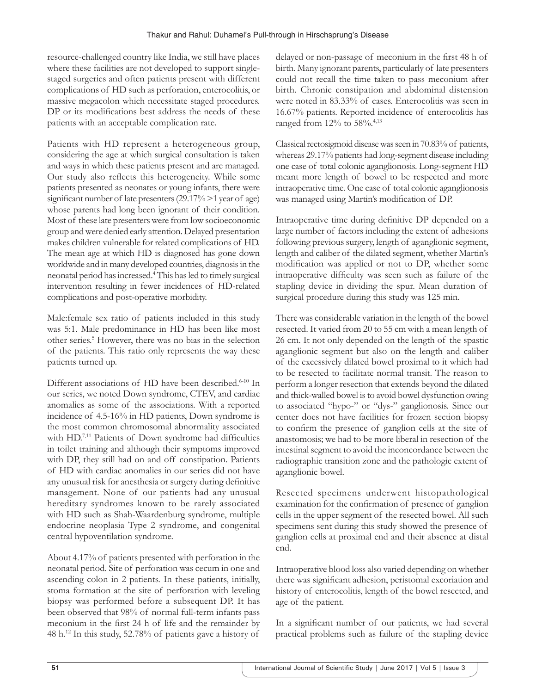resource-challenged country like India, we still have places where these facilities are not developed to support singlestaged surgeries and often patients present with different complications of HD such as perforation, enterocolitis, or massive megacolon which necessitate staged procedures. DP or its modifications best address the needs of these patients with an acceptable complication rate.

Patients with HD represent a heterogeneous group, considering the age at which surgical consultation is taken and ways in which these patients present and are managed. Our study also reflects this heterogeneity. While some patients presented as neonates or young infants, there were significant number of late presenters (29.17% >1 year of age) whose parents had long been ignorant of their condition. Most of these late presenters were from low socioeconomic group and were denied early attention. Delayed presentation makes children vulnerable for related complications of HD. The mean age at which HD is diagnosed has gone down worldwide and in many developed countries, diagnosis in the neonatal period has increased.4 This has led to timely surgical intervention resulting in fewer incidences of HD-related complications and post-operative morbidity.

Male:female sex ratio of patients included in this study was 5:1. Male predominance in HD has been like most other series.<sup>5</sup> However, there was no bias in the selection of the patients. This ratio only represents the way these patients turned up.

Different associations of HD have been described.<sup>6-10</sup> In our series, we noted Down syndrome, CTEV, and cardiac anomalies as some of the associations. With a reported incidence of 4.5-16% in HD patients, Down syndrome is the most common chromosomal abnormality associated with HD.<sup>7,11</sup> Patients of Down syndrome had difficulties in toilet training and although their symptoms improved with DP, they still had on and off constipation. Patients of HD with cardiac anomalies in our series did not have any unusual risk for anesthesia or surgery during definitive management. None of our patients had any unusual hereditary syndromes known to be rarely associated with HD such as Shah-Waardenburg syndrome, multiple endocrine neoplasia Type 2 syndrome, and congenital central hypoventilation syndrome.

About 4.17% of patients presented with perforation in the neonatal period. Site of perforation was cecum in one and ascending colon in 2 patients. In these patients, initially, stoma formation at the site of perforation with leveling biopsy was performed before a subsequent DP. It has been observed that 98% of normal full-term infants pass meconium in the first 24 h of life and the remainder by 48 h.<sup>12</sup> In this study, 52.78% of patients gave a history of

delayed or non-passage of meconium in the first 48 h of birth. Many ignorant parents, particularly of late presenters could not recall the time taken to pass meconium after birth. Chronic constipation and abdominal distension were noted in 83.33% of cases. Enterocolitis was seen in 16.67% patients. Reported incidence of enterocolitis has ranged from 12% to 58%.4,13

Classical rectosigmoid disease was seen in 70.83% of patients, whereas 29.17% patients had long-segment disease including one case of total colonic aganglionosis. Long-segment HD meant more length of bowel to be respected and more intraoperative time. One case of total colonic aganglionosis was managed using Martin's modification of DP.

Intraoperative time during definitive DP depended on a large number of factors including the extent of adhesions following previous surgery, length of aganglionic segment, length and caliber of the dilated segment, whether Martin's modification was applied or not to DP, whether some intraoperative difficulty was seen such as failure of the stapling device in dividing the spur. Mean duration of surgical procedure during this study was 125 min.

There was considerable variation in the length of the bowel resected. It varied from 20 to 55 cm with a mean length of 26 cm. It not only depended on the length of the spastic aganglionic segment but also on the length and caliber of the excessively dilated bowel proximal to it which had to be resected to facilitate normal transit. The reason to perform a longer resection that extends beyond the dilated and thick-walled bowel is to avoid bowel dysfunction owing to associated "hypo-" or "dys-" ganglionosis. Since our center does not have facilities for frozen section biopsy to confirm the presence of ganglion cells at the site of anastomosis; we had to be more liberal in resection of the intestinal segment to avoid the inconcordance between the radiographic transition zone and the pathologic extent of aganglionic bowel.

Resected specimens underwent histopathological examination for the confirmation of presence of ganglion cells in the upper segment of the resected bowel. All such specimens sent during this study showed the presence of ganglion cells at proximal end and their absence at distal end.

Intraoperative blood loss also varied depending on whether there was significant adhesion, peristomal excoriation and history of enterocolitis, length of the bowel resected, and age of the patient.

In a significant number of our patients, we had several practical problems such as failure of the stapling device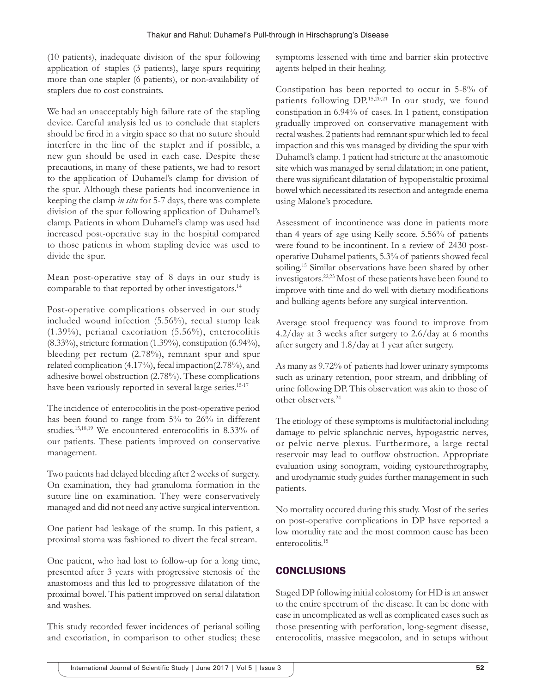(10 patients), inadequate division of the spur following application of staples (3 patients), large spurs requiring more than one stapler (6 patients), or non-availability of staplers due to cost constraints.

We had an unacceptably high failure rate of the stapling device. Careful analysis led us to conclude that staplers should be fired in a virgin space so that no suture should interfere in the line of the stapler and if possible, a new gun should be used in each case. Despite these precautions, in many of these patients, we had to resort to the application of Duhamel's clamp for division of the spur. Although these patients had inconvenience in keeping the clamp *in situ* for 5-7 days, there was complete division of the spur following application of Duhamel's clamp. Patients in whom Duhamel's clamp was used had increased post-operative stay in the hospital compared to those patients in whom stapling device was used to divide the spur.

Mean post-operative stay of 8 days in our study is comparable to that reported by other investigators.<sup>14</sup>

Post-operative complications observed in our study included wound infection (5.56%), rectal stump leak (1.39%), perianal excoriation (5.56%), enterocolitis (8.33%), stricture formation (1.39%), constipation (6.94%), bleeding per rectum (2.78%), remnant spur and spur related complication (4.17%), fecal impaction(2.78%), and adhesive bowel obstruction (2.78%). These complications have been variously reported in several large series.<sup>15-17</sup>

The incidence of enterocolitis in the post-operative period has been found to range from 5% to 26% in different studies.15,18,19 We encountered enterocolitis in 8.33% of our patients. These patients improved on conservative management.

Two patients had delayed bleeding after 2 weeks of surgery. On examination, they had granuloma formation in the suture line on examination. They were conservatively managed and did not need any active surgical intervention.

One patient had leakage of the stump. In this patient, a proximal stoma was fashioned to divert the fecal stream.

One patient, who had lost to follow-up for a long time, presented after 3 years with progressive stenosis of the anastomosis and this led to progressive dilatation of the proximal bowel. This patient improved on serial dilatation and washes.

This study recorded fewer incidences of perianal soiling and excoriation, in comparison to other studies; these

symptoms lessened with time and barrier skin protective agents helped in their healing.

Constipation has been reported to occur in 5-8% of patients following DP.15,20,21 In our study, we found constipation in 6.94% of cases. In 1 patient, constipation gradually improved on conservative management with rectal washes. 2 patients had remnant spur which led to fecal impaction and this was managed by dividing the spur with Duhamel's clamp. 1 patient had stricture at the anastomotic site which was managed by serial dilatation; in one patient, there was significant dilatation of hypoperistaltic proximal bowel which necessitated its resection and antegrade enema using Malone's procedure.

Assessment of incontinence was done in patients more than 4 years of age using Kelly score. 5.56% of patients were found to be incontinent. In a review of 2430 postoperative Duhamel patients, 5.3% of patients showed fecal soiling.<sup>15</sup> Similar observations have been shared by other investigators.22,23 Most of these patients have been found to improve with time and do well with dietary modifications and bulking agents before any surgical intervention.

Average stool frequency was found to improve from 4.2/day at 3 weeks after surgery to 2.6/day at 6 months after surgery and 1.8/day at 1 year after surgery.

As many as 9.72% of patients had lower urinary symptoms such as urinary retention, poor stream, and dribbling of urine following DP. This observation was akin to those of other observers.24

The etiology of these symptoms is multifactorial including damage to pelvic splanchnic nerves, hypogastric nerves, or pelvic nerve plexus. Furthermore, a large rectal reservoir may lead to outflow obstruction. Appropriate evaluation using sonogram, voiding cystourethrography, and urodynamic study guides further management in such patients.

No mortality occured during this study. Most of the series on post-operative complications in DP have reported a low mortality rate and the most common cause has been enterocolitis.<sup>15</sup>

# **CONCLUSIONS**

Staged DP following initial colostomy for HD is an answer to the entire spectrum of the disease. It can be done with ease in uncomplicated as well as complicated cases such as those presenting with perforation, long-segment disease, enterocolitis, massive megacolon, and in setups without